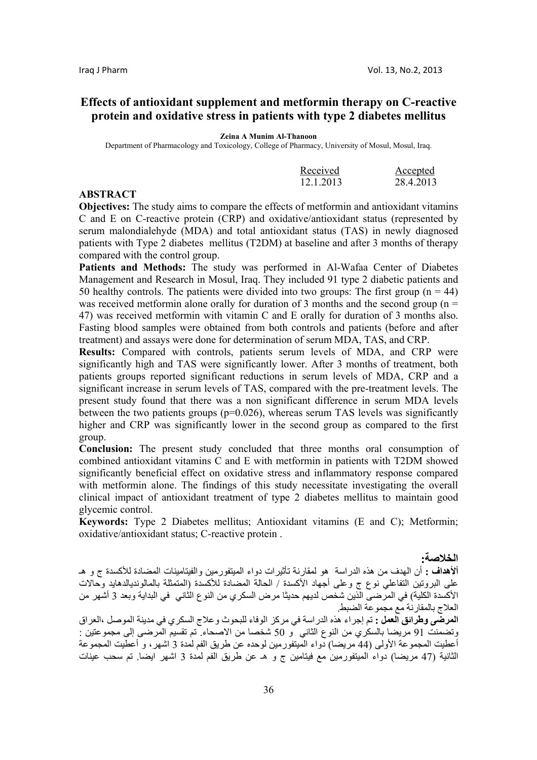# **Effects of antioxidant supplement and metformin therapy on C-reactive protein and oxidative stress in patients with type 2 diabetes mellitus**

**Zeina A Munim Al-Thanoon** 

Department of Pharmacology and Toxicology, College of Pharmacy, University of Mosul, Mosul, Iraq.

| Received  | Accepted  |
|-----------|-----------|
| 12.1.2013 | 28.4.2013 |

## **ABSTRACT**

**Objectives:** The study aims to compare the effects of metformin and antioxidant vitamins C and E on C-reactive protein (CRP) and oxidative/antioxidant status (represented by serum malondialehyde (MDA) and total antioxidant status (TAS) in newly diagnosed patients with Type 2 diabetes mellitus (T2DM) at baseline and after 3 months of therapy compared with the control group.

**Patients and Methods:** The study was performed in Al-Wafaa Center of Diabetes Management and Research in Mosul, Iraq. They included 91 type 2 diabetic patients and 50 healthy controls. The patients were divided into two groups: The first group ( $n = 44$ ) was received metformin alone orally for duration of 3 months and the second group ( $n =$ 47) was received metformin with vitamin C and E orally for duration of 3 months also. Fasting blood samples were obtained from both controls and patients (before and after treatment) and assays were done for determination of serum MDA, TAS, and CRP.

**Results:** Compared with controls, patients serum levels of MDA, and CRP were significantly high and TAS were significantly lower. After 3 months of treatment, both patients groups reported significant reductions in serum levels of MDA, CRP and a significant increase in serum levels of TAS, compared with the pre-treatment levels. The present study found that there was a non significant difference in serum MDA levels between the two patients groups  $(p=0.026)$ , whereas serum TAS levels was significantly higher and CRP was significantly lower in the second group as compared to the first group.

**Conclusion:** The present study concluded that three months oral consumption of combined antioxidant vitamins C and E with metformin in patients with T2DM showed significantly beneficial effect on oxidative stress and inflammatory response compared with metformin alone. The findings of this study necessitate investigating the overall clinical impact of antioxidant treatment of type 2 diabetes mellitus to maintain good glycemic control.

**Keywords:** Type 2 Diabetes mellitus; Antioxidant vitamins (E and C); Metformin; oxidative/antioxidant status; C-reactive protein .

**الخلاصة:** 

**ألأهداف :** أن الهدف من هذه الدراسة هو لمقارنة تأثيرات دواء الميتفورمين والفيتامينات المضادة للأآسدة ج و هـ على البروتين التفاعلي نوع ج وعلى أجهاد الأآسدة / الحالة المضادة للأآسدة (المتمثلة بالمالونديالدهايد وحالات الأآسدة الكلية) في المرضى الذين شخص لديهم حديثا مرض السكري من النوع الثاني في البداية وبعد 3 أشهر من العلاج بالمقارنة مع مجموعة الضبط.

**المرضى وطرائق العمل :** تم إجراء هذه الدراسة في مرآز الوفاء للبحوث وعلاج السكري في مدينة الموصل ،العراق وتضمنت 91 مريضا بالسكري من النوع الثاني و 50 شخصا من الاصحاء. تم تقسيم المرضى إلى مجموعتين : أعطيت المجموعة الأولى (44 مريضا) دواء الميتفورمين لوحده عن طريق الفم لمدة 3 اشهر، و أعطيت المجموعة الثانية (47 مريضا) دواء الميتفورمين مع فيتامين ج و هـ عن طريق الفم لمدة 3 اشهر ايضا. تم سحب عينات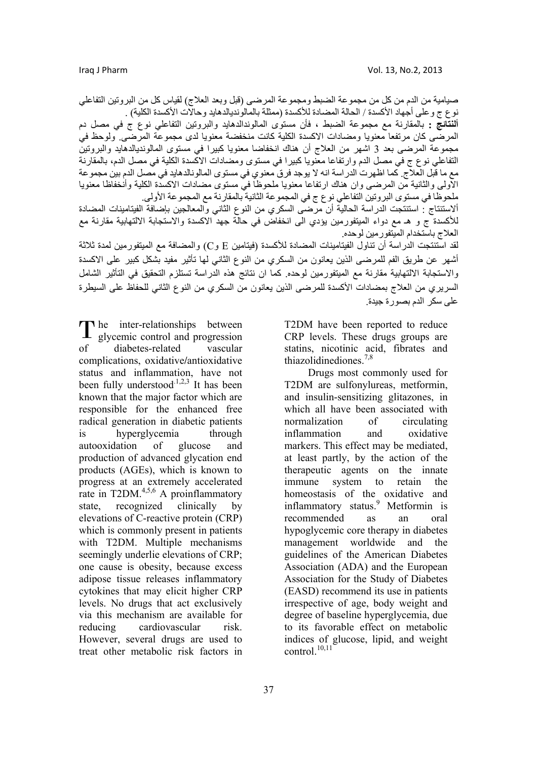صيامية من الدم من كل من مجموعة الضبط ومجموعة المرضىي (قبل وبعد العلاج) لقياس كل من البروتين التفاعلي نو ع ج و على أجهاد الأكسدة / الحالة المضادة للأكسدة (ممثلة بالمالونديالدهايد وحالات الأكسدة الكلية) .

**ألنتائج :** بالمقارنة مع مجموعة الضبط ، فأن مستوى المالوندالدهايد والبروتين التفاعلي نوع ج في مصل دم المرضَّى كان مرتفعا معنويا ومضادات الاكسدة الكلية كانت مُنخفضة معنويا لدى مجموعة المرضى. ولوحظ في مجموعة المرضى بعد 3 اشهر من العلاج أن هناك انخفاضا معنويا كبيرا في مستوى المالونديالدهايد والبروتين التفاعلي نوع ج في مصل الدم وارتفاعا معنويا كبيرا في مستوى ومضادات الاكسدة الكلية في مصل الدم، بالمقارنة مع ما قبل العلاج. آما اظهرت الدراسة انه لا يوجد فرق معنوي في مستوى المالونالدهايد في مصل الدم بين مجموعة الاولى والثانية من المرضى وان هناك ارتفاعا معنويا ملحوظا في مستوى مضادات الاآسدة الكلية وأنخفاظا معنويا ملحوظا في مستوى البروتين التفاعلي نوع ج في المجموعة الثانية بالمقارنة مع المجموعة الأولى.

ألاستنتاج : استنتجت الدراسة الحالية أن مرضى السكري من النوع الثاني والمعالجين بإضافة الفيتامينات المضادة للأآسدة ج و هـ مع دواء الميتفورمين يؤدي الى انخفاض في حالة جهد الاآسدة والاستجابة الالتهابية مقارنة مع العلاج باستخدام الميتفورمين لوحده.

لقد استنتجت الدراسة أن تناول الفيتامينات المضادة للأكسدة (فيتامين  $\rm E$  و $\rm C$ ) والمضافة مع الميتفورمين لمدة ثلاثة أشهر عن طريق الفم للمرضى الذين يعانون من السكري من النوع الثاني لها تأثير مفيد بشكل كبير على الاكسدة والاستجابة الالتهابية مقارنة مع الميتفورمين لوحده. آما ان نتائج هذه الدراسة تستلزم التحقيق في التأثير الشامل السريري من العلاج بمضادات الأآسدة للمرضى الذين يعانون من السكري من النوع الثاني للحفاظ على السيطرة على سكر الدم بصورة جيدة.

he inter-relationships between The inter-relationships between<br>glycemic control and progression of diabetes-related vascular complications, oxidative**/**antioxidative status and inflammation, have not been fully understood.<sup>1,2,3</sup> It has been known that the major factor which are responsible for the enhanced free radical generation in diabetic patients is hyperglycemia through autooxidation of glucose and production of advanced glycation end products (AGEs), which is known to progress at an extremely accelerated rate in T2DM. $4,5,6$  A proinflammatory state, recognized clinically by elevations of C-reactive protein (CRP) which is commonly present in patients with T2DM. Multiple mechanisms seemingly underlie elevations of CRP; one cause is obesity, because excess adipose tissue releases inflammatory cytokines that may elicit higher CRP levels. No drugs that act exclusively via this mechanism are available for reducing cardiovascular risk. However, several drugs are used to treat other metabolic risk factors in

T2DM have been reported to reduce CRP levels. These drugs groups are statins, nicotinic acid, fibrates and thiazolidinediones.<sup>7,8</sup>

 Drugs most commonly used for T2DM are sulfonylureas, metformin, and insulin-sensitizing glitazones, in which all have been associated with normalization of circulating inflammation and oxidative markers. This effect may be mediated, at least partly, by the action of the therapeutic agents on the innate immune system to retain the homeostasis of the oxidative and inflammatory status.<sup>9</sup> Metformin is recommended as an oral hypoglycemic core therapy in diabetes management worldwide and the guidelines of the American Diabetes Association (ADA) and the European Association for the Study of Diabetes (EASD) recommend its use in patients irrespective of age, body weight and degree of baseline hyperglycemia, due to its favorable effect on metabolic indices of glucose, lipid, and weight control $^{10,11}$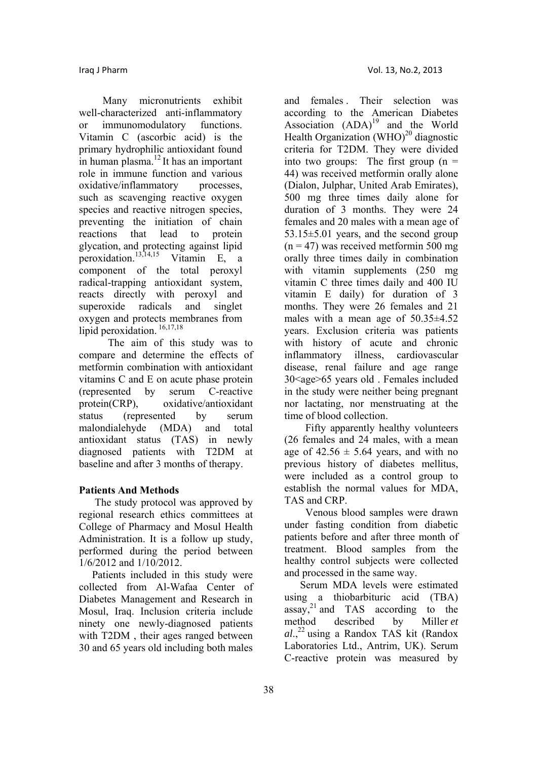Many micronutrients exhibit well-characterized anti-inflammatory or immunomodulatory functions. Vitamin C (ascorbic acid) is the primary hydrophilic antioxidant found in human plasma. $^{12}$  It has an important role in immune function and various oxidative/inflammatory processes. such as scavenging reactive oxygen species and reactive nitrogen species, preventing the initiation of chain reactions that lead to protein glycation, and protecting against lipid peroxidation.<sup>13,14,15</sup> Vitamin E, a component of the total peroxyl radical-trapping antioxidant system, reacts directly with peroxyl and superoxide radicals and singlet oxygen and protects membranes from lipid peroxidation.<sup>16,17,18</sup>

 The aim of this study was to compare and determine the effects of metformin combination with antioxidant vitamins C and E on acute phase protein (represented by serum C-reactive protein(CRP), oxidative/antioxidant status (represented by serum malondialehyde (MDA) and total antioxidant status (TAS) in newly diagnosed patients with T2DM at baseline and after 3 months of therapy.

### **Patients And Methods**

 The study protocol was approved by regional research ethics committees at College of Pharmacy and Mosul Health Administration. It is a follow up study, performed during the period between 1/6/2012 and 1/10/2012.

 Patients included in this study were collected from Al-Wafaa Center of Diabetes Management and Research in Mosul, Iraq. Inclusion criteria include ninety one newly-diagnosed patients with T2DM , their ages ranged between 30 and 65 years old including both males

and females . Their selection was according to the American Diabetes Association  $(ADA)^{19}$  and the World Health Organization  $(WHO)^{20}$  diagnostic criteria for T2DM. They were divided into two groups: The first group  $(n =$ 44) was received metformin orally alone (Dialon, Julphar, United Arab Emirates), 500 mg three times daily alone for duration of 3 months. They were 24 females and 20 males with a mean age of 53.15±5.01 years, and the second group  $(n = 47)$  was received metformin 500 mg orally three times daily in combination with vitamin supplements (250 mg vitamin C three times daily and 400 IU vitamin E daily) for duration of 3 months. They were 26 females and 21 males with a mean age of  $50.35\pm4.52$ years. Exclusion criteria was patients with history of acute and chronic inflammatory illness, cardiovascular disease, renal failure and age range 30<age>65 years old . Females included in the study were neither being pregnant nor lactating, nor menstruating at the time of blood collection.

 Fifty apparently healthy volunteers (26 females and 24 males, with a mean age of  $42.56 \pm 5.64$  years, and with no previous history of diabetes mellitus, were included as a control group to establish the normal values for MDA, TAS and CRP.

 Venous blood samples were drawn under fasting condition from diabetic patients before and after three month of treatment. Blood samples from the healthy control subjects were collected and processed in the same way.

 Serum MDA levels were estimated using a thiobarbituric acid (TBA) assay,<sup>21</sup> and  $TAS$  according to the method described by Miller *et al*.,22 using a Randox TAS kit (Randox Laboratories Ltd., Antrim, UK). Serum C-reactive protein was measured by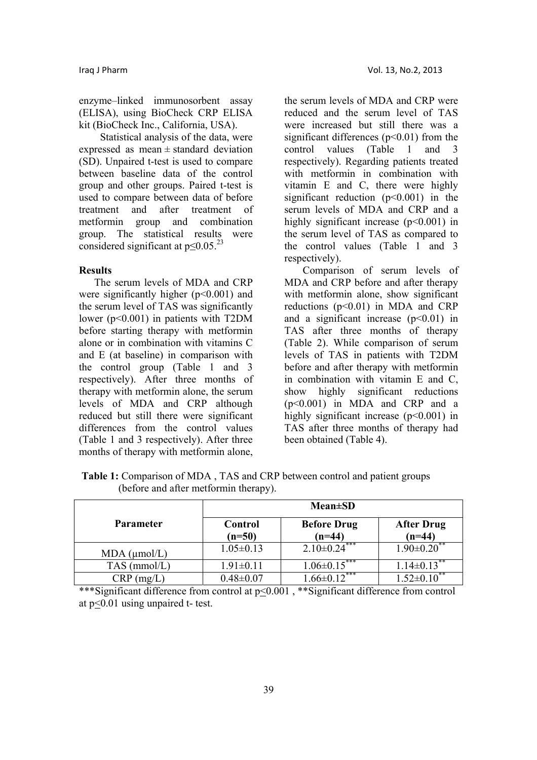enzyme–linked immunosorbent assay (ELISA), using BioCheck CRP ELISA kit (BioCheck Inc., California, USA).

 Statistical analysis of the data, were expressed as mean  $\pm$  standard deviation (SD). Unpaired t-test is used to compare between baseline data of the control group and other groups. Paired t-test is used to compare between data of before treatment and after treatment of metformin group and combination group. The statistical results were considered significant at  $p \leq 0.05$ .<sup>23</sup>

### **Results**

 The serum levels of MDA and CRP were significantly higher  $(p<0.001)$  and the serum level of TAS was significantly lower (p<0.001) in patients with T2DM before starting therapy with metformin alone or in combination with vitamins C and E (at baseline) in comparison with the control group (Table 1 and 3 respectively). After three months of therapy with metformin alone, the serum levels of MDA and CRP although reduced but still there were significant differences from the control values (Table 1 and 3 respectively). After three months of therapy with metformin alone,

the serum levels of MDA and CRP were reduced and the serum level of TAS were increased but still there was a significant differences  $(p<0.01)$  from the control values (Table 1 and 3 respectively). Regarding patients treated with metformin in combination with vitamin E and C, there were highly significant reduction  $(p<0.001)$  in the serum levels of MDA and CRP and a highly significant increase (p<0.001) in the serum level of TAS as compared to the control values (Table 1 and 3 respectively).

 Comparison of serum levels of MDA and CRP before and after therapy with metformin alone, show significant reductions  $(p<0.01)$  in MDA and CRP and a significant increase  $(p<0.01)$  in TAS after three months of therapy (Table 2). While comparison of serum levels of TAS in patients with T2DM before and after therapy with metformin in combination with vitamin E and C, show highly significant reductions (p<0.001) in MDA and CRP and a highly significant increase  $(p<0.001)$  in TAS after three months of therapy had been obtained (Table 4).

|                      | $Mean \pm SD$       |                                |                               |
|----------------------|---------------------|--------------------------------|-------------------------------|
| <b>Parameter</b>     | Control<br>$(n=50)$ | <b>Before Drug</b><br>$(n=44)$ | <b>After Drug</b><br>$(n=44)$ |
| $MDA$ ( $\mu$ mol/L) | $1.05 \pm 0.13$     | $2.10\pm0.24$ <sup>***</sup>   | $1.90 \pm 0.20$ <sup>**</sup> |
| $TAS$ (mmol/L)       | $1.91 \pm 0.11$     | ***<br>$1.06 \pm 0.15$         | $1.14 \pm 0.13$               |
| $CRP$ (mg/L)         | $0.48 \pm 0.07$     | $12^{***}$                     |                               |

**Table 1:** Comparison of MDA , TAS and CRP between control and patient groups (before and after metformin therapy).

\*\*\*Significant difference from control at p<0.001 , \*\*Significant difference from control at p<0.01 using unpaired t- test.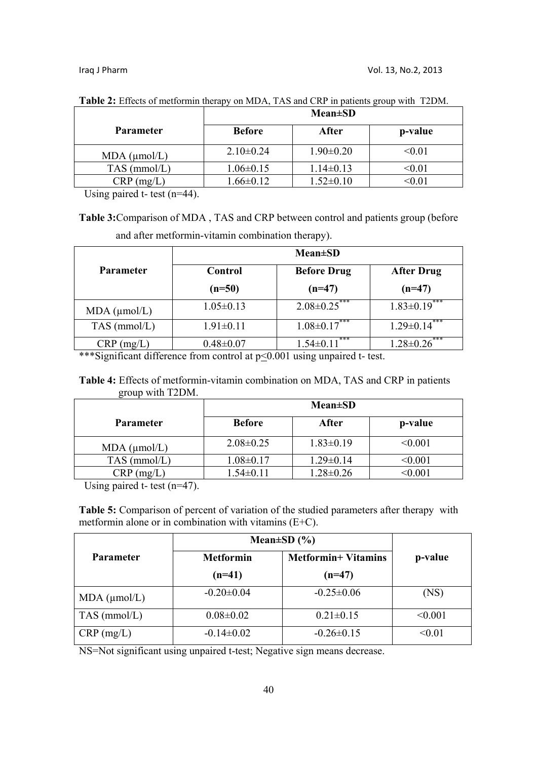|                      | <b>Mean</b> ±SD |                 |               |
|----------------------|-----------------|-----------------|---------------|
| <b>Parameter</b>     | <b>Before</b>   | After           | p-value       |
| $MDA$ ( $\mu$ mol/L) | $2.10\pm0.24$   | $1.90 \pm 0.20$ | < 0.01        |
| $TAS$ (mmol/L)       | $1.06 \pm 0.15$ | $1.14 \pm 0.13$ | $<$ 0.01 $\,$ |
| $CRP$ (mg/L)         | $1.66 \pm 0.12$ | $1.52 \pm 0.10$ | $<\!\!0.01$   |

**Table 2:** Effects of metformin therapy on MDA, TAS and CRP in patients group with T2DM.

Using paired t- test (n=44).

**Table 3:**Comparison of MDA , TAS and CRP between control and patients group (before and after metformin-vitamin combination therapy).

|                      | $Mean \pm SD$<br><b>Before Drug</b><br><b>After Drug</b><br>Control |                        |                        |  |
|----------------------|---------------------------------------------------------------------|------------------------|------------------------|--|
| <b>Parameter</b>     |                                                                     |                        |                        |  |
|                      | $(n=50)$                                                            | $(n=47)$               | $(n=47)$               |  |
| $MDA$ ( $\mu$ mol/L) | $1.05 \pm 0.13$                                                     | $2.08 \pm 0.25$ ***    | $1.83 \pm 0.19$ ***    |  |
| $TAS$ (mmol/L)       | $1.91 \pm 0.11$                                                     | $1.08 \pm 0.17$ ***    | ***<br>$1.29 \pm 0.14$ |  |
| $CRP$ (mg/L)         | $0.48 \pm 0.07$                                                     | ***<br>$1.54 \pm 0.11$ | ***<br>$1.28 \pm 0.26$ |  |

\*\*\*Significant difference from control at  $p<0.001$  using unpaired t- test.

# **Table 4:** Effects of metformin-vitamin combination on MDA, TAS and CRP in patients group with T2DM.

|                      | <b>Mean</b> ±SD |                 |             |
|----------------------|-----------------|-----------------|-------------|
| <b>Parameter</b>     | <b>Before</b>   | After           | p-value     |
| $MDA$ ( $\mu$ mol/L) | $2.08 \pm 0.25$ | $1.83 \pm 0.19$ | < 0.001     |
| $TAS$ (mmol/L)       | $1.08 \pm 0.17$ | $1.29 \pm 0.14$ | $<$ $0.001$ |
| (mg/L)<br>CRP.       | $1.54 \pm 0.11$ | $1.28 \pm 0.26$ | 0.001       |

Using paired  $t$ - test (n=47).

**Table 5:** Comparison of percent of variation of the studied parameters after therapy with metformin alone or in combination with vitamins (E+C).

|                      | Mean $\pm SD(%)$                               |                  |         |
|----------------------|------------------------------------------------|------------------|---------|
| Parameter            | <b>Metformin+ Vitamins</b><br><b>Metformin</b> |                  | p-value |
|                      | $(n=41)$                                       | $(n=47)$         |         |
| $MDA$ ( $\mu$ mol/L) | $-0.20 \pm 0.04$                               | $-0.25 \pm 0.06$ | (NS)    |
| $TAS$ (mmol/L)       | $0.08 \pm 0.02$                                | $0.21 \pm 0.15$  | < 0.001 |
| $CRP$ (mg/L)         | $-0.14 \pm 0.02$                               | $-0.26 \pm 0.15$ | < 0.01  |

NS=Not significant using unpaired t-test; Negative sign means decrease.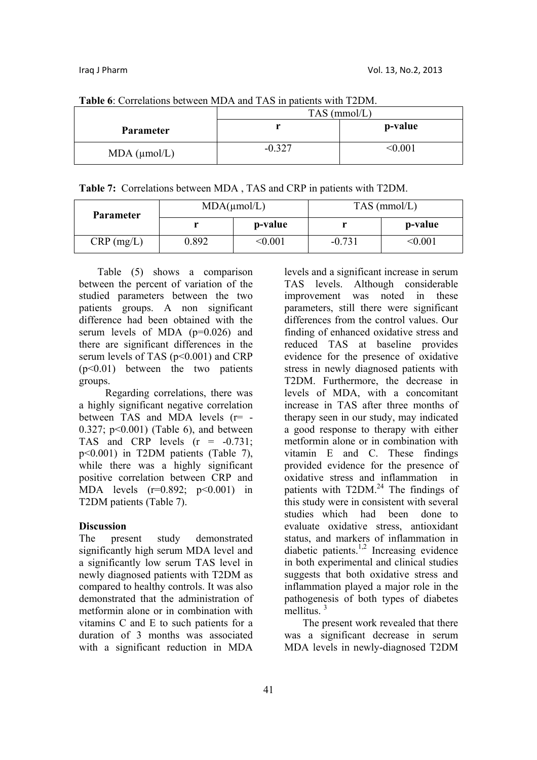| <b>Table 0.</b> Correlations between MDA and TAS in patients with T2DN. |                |              |  |  |
|-------------------------------------------------------------------------|----------------|--------------|--|--|
|                                                                         | $TAS$ (mmol/L) |              |  |  |
| <b>Parameter</b>                                                        |                | p-value      |  |  |
| $MDA$ ( $\mu$ mol/L)                                                    | $-0.327$       | $<\!\!0.001$ |  |  |

**Table 6**: Correlations between MDA and TAS in patients with T2DM.

**Table 7:** Correlations between MDA , TAS and CRP in patients with T2DM.

| Parameter    | $MDA(\mu mol/L)$ |         | $TAS$ (mmol/L) |         |
|--------------|------------------|---------|----------------|---------|
|              |                  | p-value |                | p-value |
| $CRP$ (mg/L) | 0.892            | <0.001  | $-0.731$       | <0.001  |

 Table (5) shows a comparison between the percent of variation of the studied parameters between the two patients groups. A non significant difference had been obtained with the serum levels of MDA (p=0.026) and there are significant differences in the serum levels of TAS ( $p \le 0.001$ ) and CRP (p<0.01) between the two patients groups.

 Regarding correlations, there was a highly significant negative correlation between TAS and MDA levels (r= - 0.327; p<0.001) (Table 6), and between TAS and CRP levels  $(r = -0.731)$ ; p<0.001) in T2DM patients (Table 7), while there was a highly significant positive correlation between CRP and MDA levels  $(r=0.892; p<0.001)$  in T2DM patients (Table 7).

### **Discussion**

The present study demonstrated significantly high serum MDA level and a significantly low serum TAS level in newly diagnosed patients with T2DM as compared to healthy controls. It was also demonstrated that the administration of metformin alone or in combination with vitamins C and E to such patients for a duration of 3 months was associated with a significant reduction in MDA

levels and a significant increase in serum TAS levels. Although considerable improvement was noted in these parameters, still there were significant differences from the control values. Our finding of enhanced oxidative stress and reduced TAS at baseline provides evidence for the presence of oxidative stress in newly diagnosed patients with T2DM. Furthermore, the decrease in levels of MDA, with a concomitant increase in TAS after three months of therapy seen in our study, may indicated a good response to therapy with either metformin alone or in combination with vitamin E and C. These findings provided evidence for the presence of oxidative stress and inflammation in patients with  $T2DM.<sup>24</sup>$  The findings of this study were in consistent with several studies which had been done to evaluate oxidative stress, antioxidant status, and markers of inflammation in diabetic patients.1,2 Increasing evidence in both experimental and clinical studies suggests that both oxidative stress and inflammation played a major role in the pathogenesis of both types of diabetes mellitus $\frac{3}{2}$ 

 The present work revealed that there was a significant decrease in serum MDA levels in newly-diagnosed T2DM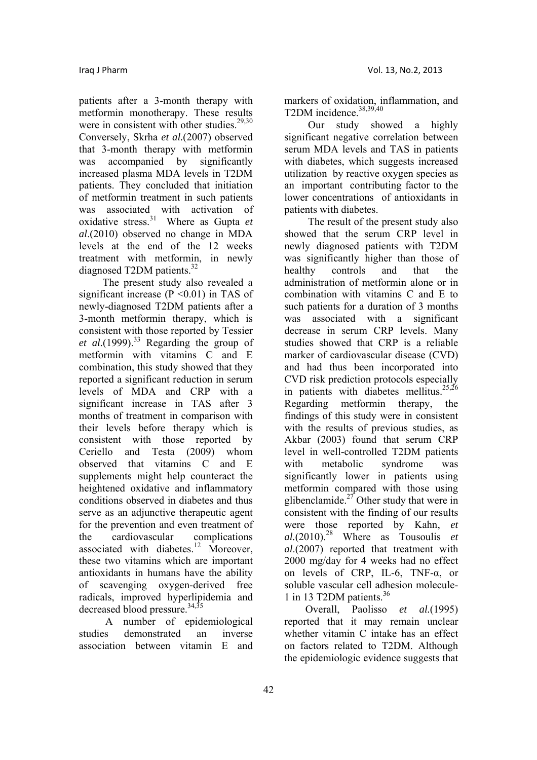patients after a 3-month therapy with metformin monotherapy. These results were in consistent with other studies.<sup>29,30</sup> Conversely, Skrha *et al.*(2007) observed that 3-month therapy with metformin was accompanied by significantly increased plasma MDA levels in T2DM patients. They concluded that initiation of metformin treatment in such patients was associated with activation of oxidative stress.31 Where as Gupta *et al*.(2010) observed no change in MDA levels at the end of the 12 weeks treatment with metformin, in newly diagnosed T2DM patients.<sup>32</sup>

 The present study also revealed a significant increase ( $P \le 0.01$ ) in TAS of newly-diagnosed T2DM patients after a 3-month metformin therapy, which is consistent with those reported by Tessier et al.(1999).<sup>33</sup> Regarding the group of metformin with vitamins C and E combination, this study showed that they reported a significant reduction in serum levels of MDA and CRP with a significant increase in TAS after 3 months of treatment in comparison with their levels before therapy which is consistent with those reported by Ceriello and Testa (2009) whom observed that vitamins C and E supplements might help counteract the heightened oxidative and inflammatory conditions observed in diabetes and thus serve as an adjunctive therapeutic agent for the prevention and even treatment of the cardiovascular complications associated with diabetes.<sup>12</sup> Moreover, these two vitamins which are important antioxidants in humans have the ability of scavenging oxygen-derived free radicals, improved hyperlipidemia and decreased blood pressure.<sup>34,35</sup>

 A number of epidemiological studies demonstrated an inverse association between vitamin E and

markers of oxidation, inflammation, and T2DM incidence.<sup>38,39,40</sup>

 Our study showed a highly significant negative correlation between serum MDA levels and TAS in patients with diabetes, which suggests increased utilization by reactive oxygen species as an important contributing factor to the lower concentrations of antioxidants in patients with diabetes.

 The result of the present study also showed that the serum CRP level in newly diagnosed patients with T2DM was significantly higher than those of healthy controls and that the administration of metformin alone or in combination with vitamins C and E to such patients for a duration of 3 months was associated with a significant decrease in serum CRP levels. Many studies showed that CRP is a reliable marker of cardiovascular disease (CVD) and had thus been incorporated into CVD risk prediction protocols especially in patients with diabetes mellitus.<sup>25,26</sup> Regarding metformin therapy, the findings of this study were in consistent with the results of previous studies, as Akbar (2003) found that serum CRP level in well-controlled T2DM patients with metabolic syndrome was significantly lower in patients using metformin compared with those using glibenclamide.<sup>27</sup> Other study that were in consistent with the finding of our results were those reported by Kahn, *et al.*(2010).28 Where as Tousoulis *et al*.(2007) reported that treatment with 2000 mg/day for 4 weeks had no effect on levels of CRP, IL-6, TNF-α, or soluble vascular cell adhesion molecule-1 in 13 T2DM patients.<sup>36</sup>

 Overall, Paolisso *et al.*(1995) reported that it may remain unclear whether vitamin C intake has an effect on factors related to T2DM. Although the epidemiologic evidence suggests that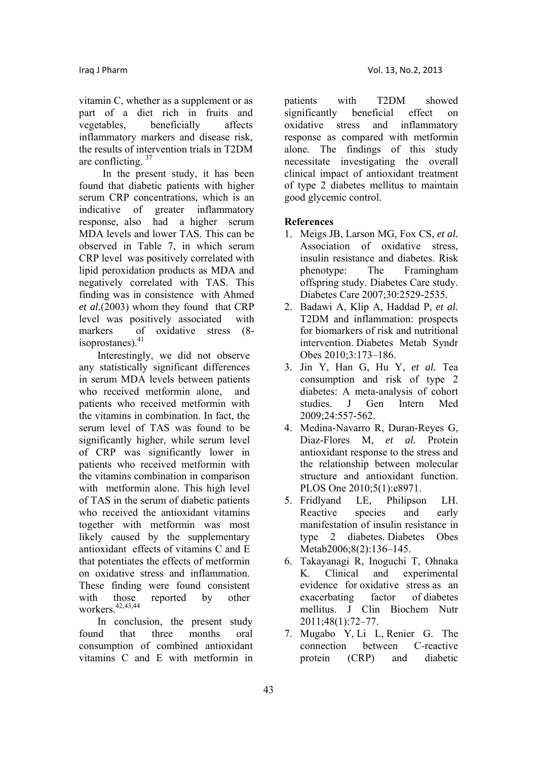vitamin C, whether as a supplement or as part of a diet rich in fruits and vegetables, beneficially affects inflammatory markers and disease risk, the results of intervention trials in T2DM are conflicting.  $37$ 

 In the present study, it has been found that diabetic patients with higher serum CRP concentrations, which is an indicative of greater inflammatory response, also had a higher serum MDA levels and lower TAS. This can be observed in Table 7, in which serum CRP level was positively correlated with lipid peroxidation products as MDA and negatively correlated with TAS. This finding was in consistence with Ahmed *et al.*(2003) whom they found that CRP level was positively associated with markers of oxidative stress (8 isoprostanes).<sup>41</sup>

 Interestingly, we did not observe any statistically significant differences in serum MDA levels between patients who received metformin alone, and patients who received metformin with the vitamins in combination. In fact, the serum level of TAS was found to be significantly higher, while serum level of CRP was significantly lower in patients who received metformin with the vitamins combination in comparison with metformin alone. This high level of TAS in the serum of diabetic patients who received the antioxidant vitamins together with metformin was most likely caused by the supplementary antioxidant effects of vitamins C and E that potentiates the effects of metformin on oxidative stress and inflammation. These finding were found consistent with those reported by other workers. $42,43,44$ 

 In conclusion, the present study found that three months oral consumption of combined antioxidant vitamins C and E with metformin in

patients with T2DM showed significantly beneficial effect on oxidative stress and inflammatory response as compared with metformin alone. The findings of this study necessitate investigating the overall clinical impact of antioxidant treatment of type 2 diabetes mellitus to maintain good glycemic control.

## **References**

- 1. Meigs JB, Larson MG, Fox CS, *et al.*  Association of oxidative stress, insulin resistance and diabetes. Risk phenotype: The Framingham offspring study. Diabetes Care study. Diabetes Care 2007;30:2529-2535.
- 2. Badawi A, Klip A, Haddad P, *et al.*  T2DM and inflammation: prospects for biomarkers of risk and nutritional intervention. Diabetes Metab Syndr Obes 2010;3:173–186.
- 3. Jin Y, Han G, Hu Y, *et al.* Tea consumption and risk of type 2 diabetes: A meta-analysis of cohort studies. J Gen Intern Med  $2009.24.557-562$
- 4. Medina-Navarro R, Duran-Reyes G, Diaz-Flores M, *et al.* Protein antioxidant response to the stress and the relationship between molecular structure and antioxidant function. PLOS One 2010;5(1):e8971.
- 5. Fridlyand LE, Philipson LH. Reactive species and early manifestation of insulin resistance in type 2 diabetes. Diabetes Obes Metab2006;8(2):136–145.
- 6. Takayanagi R, Inoguchi T, Ohnaka K. Clinical and experimental evidence for oxidative stress as an exacerbating factor of diabetes mellitus. J Clin Biochem Nutr 2011;48(1):72–77.
- 7. Mugabo Y, Li L, Renier G. The connection between C-reactive protein (CRP) and diabetic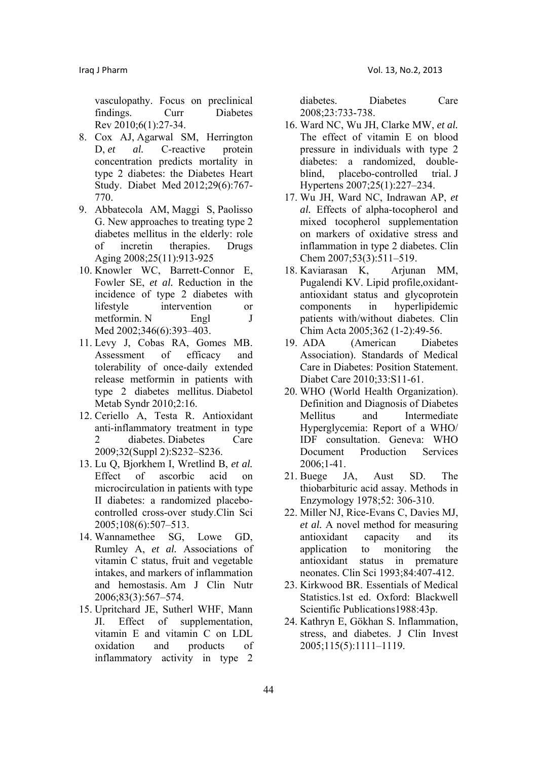vasculopathy. Focus on preclinical findings. Curr Diabetes Rev 2010;6(1):27-34.

- 8. Cox AJ, Agarwal SM, Herrington D, *et al.* C-reactive protein concentration predicts mortality in type 2 diabetes: the Diabetes Heart Study. Diabet Med 2012;29(6):767- 770.
- 9. Abbatecola AM, Maggi S, Paolisso G. New approaches to treating type 2 diabetes mellitus in the elderly: role of incretin therapies. Drugs Aging 2008;25(11):913-925
- 10. Knowler WC, Barrett-Connor E, Fowler SE, *et al.* Reduction in the incidence of type 2 diabetes with lifestyle intervention or metformin. N Engl J Med 2002;346(6):393-403.
- 11. Levy J, Cobas RA, Gomes MB. Assessment of efficacy and tolerability of once-daily extended release metformin in patients with type 2 diabetes mellitus. Diabetol Metab Syndr 2010;2:16.
- 12. Ceriello A, Testa R. Antioxidant anti-inflammatory treatment in type 2 diabetes. Diabetes Care 2009;32(Suppl 2):S232–S236.
- 13. Lu Q, Bjorkhem I, Wretlind B, *et al.*  Effect of ascorbic acid on microcirculation in patients with type II diabetes: a randomized placebocontrolled cross-over study.Clin Sci 2005;108(6):507–513.
- 14. Wannamethee SG, Lowe GD, Rumley A, *et al.* Associations of vitamin C status, fruit and vegetable intakes, and markers of inflammation and hemostasis. Am J Clin Nutr 2006;83(3):567–574.
- 15. Upritchard JE, Sutherl WHF, Mann JI. Effect of supplementation, vitamin E and vitamin C on LDL oxidation and products of inflammatory activity in type 2

diabetes. Diabetes Care 2008;23:733-738.

- 16. Ward NC, Wu JH, Clarke MW, *et al.*  The effect of vitamin E on blood pressure in individuals with type 2 diabetes: a randomized, doubleblind, placebo-controlled trial. J Hypertens 2007;25(1):227–234.
- 17. Wu JH, Ward NC, Indrawan AP, *et al.* Effects of alpha-tocopherol and mixed tocopherol supplementation on markers of oxidative stress and inflammation in type 2 diabetes. Clin Chem 2007;53(3):511–519.
- 18. Kaviarasan K, Arjunan MM, Pugalendi KV. Lipid profile,oxidantantioxidant status and glycoprotein components in hyperlipidemic patients with/without diabetes. Clin Chim Acta 2005;362 (1-2):49-56.
- 19. ADA (American Diabetes Association). Standards of Medical Care in Diabetes: Position Statement. Diabet Care 2010;33:S11-61.
- 20. WHO (World Health Organization). Definition and Diagnosis of Diabetes Mellitus and Intermediate Hyperglycemia: Report of a WHO/ IDF consultation. Geneva: WHO Document Production Services 2006;1-41.
- 21. Buege JA, Aust SD. The thiobarbituric acid assay. Methods in Enzymology 1978;52: 306-310.
- 22. Miller NJ, Rice-Evans C, Davies MJ, *et al.* A novel method for measuring antioxidant capacity and its application to monitoring the antioxidant status in premature neonates. Clin Sci 1993;84:407-412.
- 23. Kirkwood BR. Essentials of Medical Statistics.1st ed. Oxford: Blackwell Scientific Publications1988:43p.
- 24. Kathryn E, Gökhan S. Inflammation, stress, and diabetes. J Clin Invest 2005;115(5):1111–1119.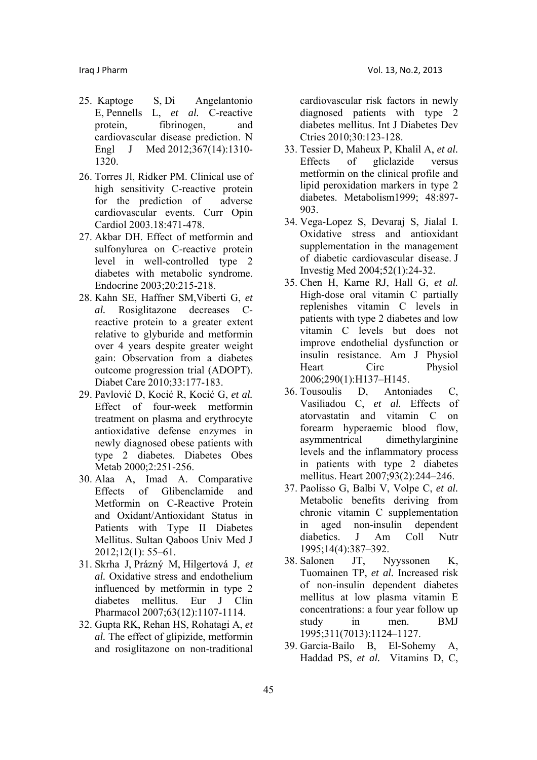- 25. Kaptoge S, Di Angelantonio E, Pennells L, *et al.* C-reactive protein, fibrinogen, and cardiovascular disease prediction. N Engl J Med 2012;367(14):1310- 1320.
- 26. Torres Jl, Ridker PM. Clinical use of high sensitivity C-reactive protein for the prediction of adverse cardiovascular events. Curr Opin Cardiol 2003.18:471-478.
- 27. Akbar DH. Effect of metformin and sulfonylurea on C-reactive protein level in well-controlled type 2 diabetes with metabolic syndrome. Endocrine 2003;20:215-218.
- 28. Kahn SE, Haffner SM,Viberti G, *et al.* Rosiglitazone decreases Creactive protein to a greater extent relative to glyburide and metformin over 4 years despite greater weight gain: Observation from a diabetes outcome progression trial (ADOPT). Diabet Care 2010;33:177-183.
- 29. Pavlović D, Kocić R, Kocić G, *et al.*  Effect of four-week metformin treatment on plasma and erythrocyte antioxidative defense enzymes in newly diagnosed obese patients with type 2 diabetes. Diabetes Obes Metab 2000;2:251-256.
- 30. Alaa A, Imad A. Comparative Effects of Glibenclamide and Metformin on C-Reactive Protein and Oxidant/Antioxidant Status in Patients with Type II Diabetes Mellitus. Sultan Qaboos Univ Med J 2012;12(1): 55–61.
- 31. Skrha J, Prázný M, Hilgertová J, *et al.* Oxidative stress and endothelium influenced by metformin in type 2 diabetes mellitus. Eur J Clin Pharmacol 2007;63(12):1107-1114.
- 32. Gupta RK, Rehan HS, Rohatagi A, *et al.* The effect of glipizide, metformin and rosiglitazone on non-traditional

cardiovascular risk factors in newly diagnosed patients with type 2 diabetes mellitus. Int J Diabetes Dev Ctries 2010;30:123-128.

- 33. Tessier D, Maheux P, Khalil A, *et al.*  Effects of gliclazide versus metformin on the clinical profile and lipid peroxidation markers in type 2 diabetes. Metabolism1999; 48:897- 903.
- 34. Vega-Lopez S, Devaraj S, Jialal I. Oxidative stress and antioxidant supplementation in the management of diabetic cardiovascular disease. J Investig Med 2004;52(1):24-32.
- 35. Chen H, Karne RJ, Hall G, *et al.*  High-dose oral vitamin C partially replenishes vitamin C levels in patients with type 2 diabetes and low vitamin C levels but does not improve endothelial dysfunction or insulin resistance. Am J Physiol Heart Circ Physiol 2006;290(1):H137–H145.
- 36. Tousoulis D, Antoniades C, Vasiliadou C, *et al.* Effects of atorvastatin and vitamin C on forearm hyperaemic blood flow, asymmentrical dimethylarginine levels and the inflammatory process in patients with type 2 diabetes mellitus. Heart 2007;93(2):244–246.
- 37. Paolisso G, Balbi V, Volpe C, *et al.*  Metabolic benefits deriving from chronic vitamin C supplementation in aged non-insulin dependent diabetics. J Am Coll Nutr 1995;14(4):387–392.
- 38. Salonen JT, Nyyssonen K, Tuomainen TP, *et al.* Increased risk of non-insulin dependent diabetes mellitus at low plasma vitamin E concentrations: a four year follow up study in men. BMJ 1995;311(7013):1124–1127.
- 39. Garcia-Bailo B, El-Sohemy A, Haddad PS, *et al.* Vitamins D, C,